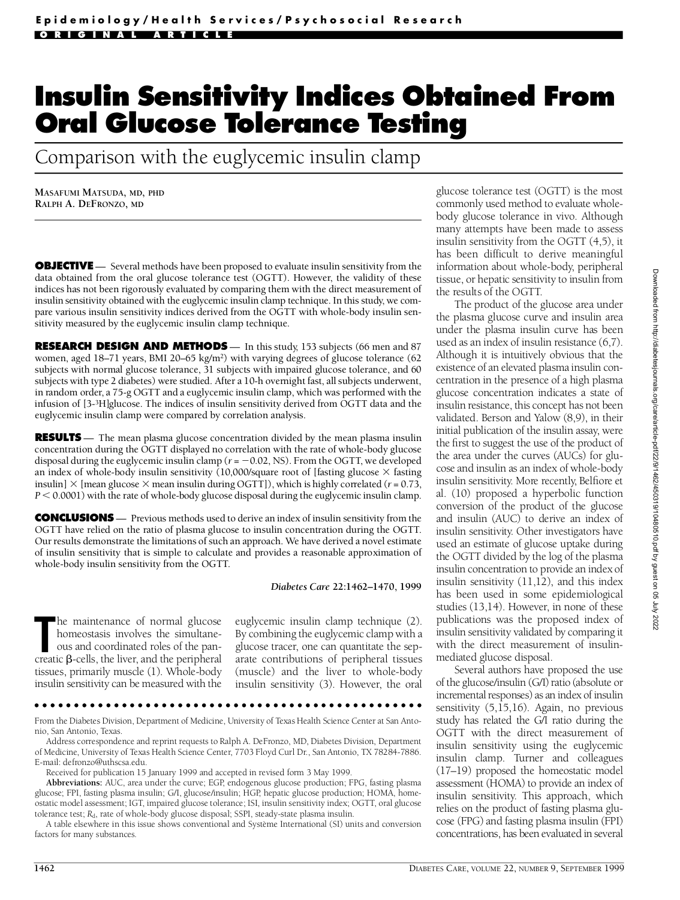# **Insulin Sensitivity Indices Obtained From Oral Glucose Tolerance Testing**

Comparison with the euglycemic insulin clamp

**MASAFUMI MATSUDA, MD, PHD RALPH A. DEFRONZO, MD**

**OBJECTIVE** — Several methods have been proposed to evaluate insulin sensitivity from the data obtained from the oral glucose tolerance test (OGTT). However, the validity of these indices has not been rigorously evaluated by comparing them with the direct measurement of insulin sensitivity obtained with the euglycemic insulin clamp technique. In this study, we compare various insulin sensitivity indices derived from the OGTT with whole-body insulin sensitivity measured by the euglycemic insulin clamp technique.

**RESEARCH DESIGN AND METHODS** — In this study, 153 subjects (66 men and 87 women, aged 18–71 years, BMI 20–65 kg/m<sup>2</sup>) with varying degrees of glucose tolerance (62 subjects with normal glucose tolerance, 31 subjects with impaired glucose tolerance, and 60 subjects with type 2 diabetes) were studied. After a 10-h overnight fast, all subjects underwent, in random order, a 75-g OGTT and a euglycemic insulin clamp, which was performed with the infusion of [3-3H]glucose. The indices of insulin sensitivity derived from OGTT data and the euglycemic insulin clamp were compared by correlation analysis.

**RESULTS** — The mean plasma glucose concentration divided by the mean plasma insulin concentration during the OGTT displayed no correlation with the rate of whole-body glucose disposal during the euglycemic insulin clamp ( $r = -0.02$ , NS). From the OGTT, we developed an index of whole-body insulin sensitivity (10,000/square root of [fasting glucose  $\times$  fasting insulin]  $\times$  [mean glucose  $\times$  mean insulin during OGTT]), which is highly correlated ( $r = 0.73$ , *P* < 0.0001) with the rate of whole-body glucose disposal during the euglycemic insulin clamp.

**CONCLUSIONS** — Previous methods used to derive an index of insulin sensitivity from the OGTT have relied on the ratio of plasma glucose to insulin concentration during the OGTT. Our results demonstrate the limitations of such an approach. We have derived a novel estimate of insulin sensitivity that is simple to calculate and provides a reasonable approximation of whole-body insulin sensitivity from the OGTT.

*Diabetes Care* **22:1462–1470, 1999**

**The maintenance of normal glucose homeostasis involves the simultane-<br>
ous and coordinated roles of the pan-<br>
creatic β-cells, the liver, and the peripheral** he maintenance of normal glucose homeostasis involves the simultaneous and coordinated roles of the pantissues, primarily muscle (1). Whole-body insulin sensitivity can be measured with the euglycemic insulin clamp technique (2). By combining the euglycemic clamp with a glucose tracer, one can quantitate the separate contributions of peripheral tissues (muscle) and the liver to whole-body insulin sensitivity (3). However, the oral

From the Diabetes Division, Department of Medicine, University of Texas Health Science Center at San Antonio, San Antonio, Texas

Address correspondence and reprint requests to Ralph A. DeFronzo, MD, Diabetes Division, Department of Medicine, University of Texas Health Science Center, 7703 Floyd Curl Dr., San Antonio, TX 78284-7886. E-mail: defronzo@uthscsa.edu.

Received for publication 15 January 1999 and accepted in revised form 3 May 1999.

Abbreviations: AUC, area under the curve; EGP, endogenous glucose production; FPG, fasting plasma glucose; FPI, fasting plasma insulin; G/I, glucose/insulin; HGP, hepatic glucose production; HOMA, homeostatic model assessment; IGT, impaired glucose tolerance; ISI, insulin sensitivity index; OGTT, oral glucose tolerance test; *R<sub>d</sub>*, rate of whole-body glucose disposal; SSPI, steady-state plasma insulin.

A table elsewhere in this issue shows conventional and Système International (SI) units and conversion factors for many substances.

glucose tolerance test (OGTT) is the most commonly used method to evaluate wholebody glucose tolerance in vivo. Although many attempts have been made to assess insulin sensitivity from the OGTT (4,5), it has been difficult to derive meaningful information about whole-body, peripheral tissue, or hepatic sensitivity to insulin from the results of the OGTT.

The product of the glucose area under the plasma glucose curve and insulin area under the plasma insulin curve has been used as an index of insulin resistance (6,7). Although it is intuitively obvious that the existence of an elevated plasma insulin concentration in the presence of a high plasma glucose concentration indicates a state of insulin resistance, this concept has not been validated. Berson and Yalow (8,9), in their initial publication of the insulin assay, were the first to suggest the use of the product of the area under the curves (AUCs) for glucose and insulin as an index of whole-body insulin sensitivity. More recently, Belfiore et al. (10) proposed a hyperbolic function conversion of the product of the glucose and insulin (AUC) to derive an index of insulin sensitivity. Other investigators have used an estimate of glucose uptake during the OGTT divided by the log of the plasma insulin concentration to provide an index of insulin sensitivity (11,12), and this index has been used in some epidemiological studies (13,14). However, in none of these publications was the proposed index of insulin sensitivity validated by comparing it with the direct measurement of insulinmediated glucose disposal.

Several authors have proposed the use of the glucose/insulin (G/I) ratio (absolute or incremental responses) as an index of insulin sensitivity  $(5,15,16)$ . Again, no previous study has related the G/I ratio during the OGTT with the direct measurement of insulin sensitivity using the euglycemic insulin clamp. Turner and colleagues (17–19) proposed the homeostatic model assessment (HOMA) to provide an index of insulin sensitivity. This approach, which relies on the product of fasting plasma glucose (FPG) and fasting plasma insulin (FPI) concentrations, has been evaluated in several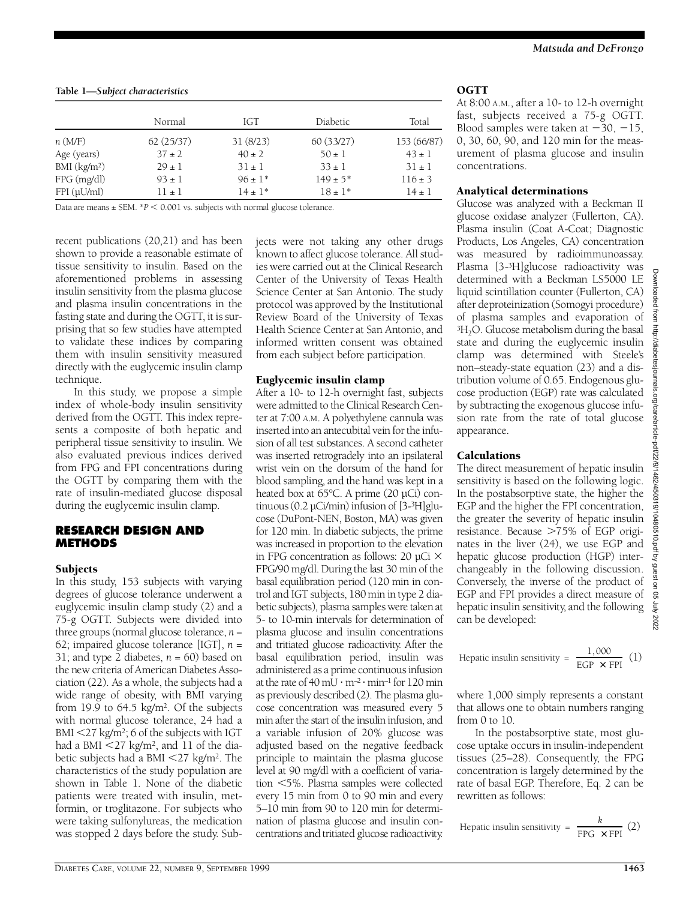**Table 1—***Subject characteristics*

|                          | Normal     | IGT         | Diabetic.    | Total       |
|--------------------------|------------|-------------|--------------|-------------|
| n(M/F)                   | 62(25/37)  | 31(8/23)    | 60(33/27)    | 153 (66/87) |
| Age (years)              | $37 \pm 2$ | $40 \pm 2$  | $50 \pm 1$   | $43 \pm 1$  |
| BMI (kg/m <sup>2</sup> ) | $29 \pm 1$ | $31 \pm 1$  | $33 \pm 1$   | $31 \pm 1$  |
| $FPG$ (mg/dl)            | $93 \pm 1$ | $96 \pm 1*$ | $149 \pm 5*$ | $116 \pm 3$ |
| $FPI(\mu U/ml)$          | $11 \pm 1$ | $14 \pm 1*$ | $18 \pm 1*$  | $14 \pm 1$  |

Data are means  $\pm$  SEM.  $*P$  < 0.001 vs. subjects with normal glucose tolerance.

recent publications (20,21) and has been shown to provide a reasonable estimate of tissue sensitivity to insulin. Based on the aforementioned problems in assessing insulin sensitivity from the plasma glucose and plasma insulin concentrations in the fasting state and during the OGTT, it is surprising that so few studies have attempted to validate these indices by comparing them with insulin sensitivity measured directly with the euglycemic insulin clamp technique.

In this study, we propose a simple index of whole-body insulin sensitivity derived from the OGTT. This index represents a composite of both hepatic and peripheral tissue sensitivity to insulin. We also evaluated previous indices derived from FPG and FPI concentrations during the OGTT by comparing them with the rate of insulin-mediated glucose disposal during the euglycemic insulin clamp.

## **RESEARCH DESIGN AND METHODS**

# **Subjects**

In this study, 153 subjects with varying degrees of glucose tolerance underwent a euglycemic insulin clamp study (2) and a 75-g OGTT. Subjects were divided into three groups (normal glucose tolerance,  $n =$ 62; impaired glucose tolerance [IGT], *n* = 31; and type 2 diabetes,  $n = 60$ ) based on the new criteria of American Diabetes Association (22). As a whole, the subjects had a wide range of obesity, with BMI varying from 19.9 to  $64.5 \text{ kg/m}^2$ . Of the subjects with normal glucose tolerance, 24 had a  $BMI < 27$  kg/m<sup>2</sup>; 6 of the subjects with IGT had a BMI  $\leq$ 27 kg/m<sup>2</sup>, and 11 of the diabetic subjects had a BMI  $\leq$ 27 kg/m<sup>2</sup>. The characteristics of the study population are shown in Table 1. None of the diabetic patients were treated with insulin, metformin, or troglitazone. For subjects who were taking sulfonylureas, the medication was stopped 2 days before the study. Subjects were not taking any other drugs known to affect glucose tolerance. All studies were carried out at the Clinical Research Center of the University of Texas Health Science Center at San Antonio. The study p rotocol was approved by the Institutional Review Board of the University of Texas Health Science Center at San Antonio, and informed written consent was obtained from each subject before participation.

# Euglycemic insulin clamp

After a 10- to 12-h overnight fast, subjects were admitted to the Clinical Research Center at 7:00 A.M. A polyethylene cannula was inserted into an antecubital vein for the infusion of all test substances. A second catheter was inserted retrogradely into an ipsilateral wrist vein on the dorsum of the hand for blood sampling, and the hand was kept in a heated box at 65°C. A prime (20 µCi) continuous  $(0.2 \mu\text{Ci/min})$  infusion of  $[3\text{-}3\text{H}]$  glucose (DuPont-NEN, Boston, MA) was given for 120 min. In diabetic subjects, the prime was increased in proportion to the elevation in FPG concentration as follows: 20  $\mu$ Ci  $\times$ FPG/90 mg/dl. During the last 30 min of the basal equilibration period (120 min in control and IGT subjects, 180 min in type 2 diabetic subjects), plasma samples were taken at 5- to 10-min intervals for determination of plasma glucose and insulin concentrations and tritiated glucose radioactivity. After the basal equilibration period, insulin was administered as a prime continuous infusion at the rate of 40 mU  $\cdot$  m<sup>-2</sup>  $\cdot$  min<sup>-1</sup> for 120 min as previously described (2). The plasma glucose concentration was measured every 5 min after the start of the insulin infusion, and a variable infusion of 20% glucose was adjusted based on the negative feedback principle to maintain the plasma glucose level at 90 mg/dl with a coefficient of variation <5%. Plasma samples were collected every 15 min from 0 to 90 min and every 5–10 min from 90 to 120 min for determ ination of plasma glucose and insulin concentrations and tritiated glucose radioactivity.

# OGTT

At  $8:00$  A.M., after a  $10$ - to  $12$ -h overnight fast, subjects received a 75-g OGTT. Blood samples were taken at  $-30$ ,  $-15$ , 0, 30, 60, 90, and 120 min for the measurement of plasma glucose and insulin concentrations.

## Analytical determinations

Glucose was analyzed with a Beckman II glucose oxidase analyzer (Fullerton, CA). Plasma insulin (Coat A-Coat; Diagnostic Products, Los Angeles, CA) concentration was measured by radioimmunoassay. Plasma [3-3H]glucose radioactivity was determined with a Beckman LS5000 LE liquid scintillation counter (Fullerton, CA) after deproteinization (Somogyi procedure) of plasma samples and evaporation of  ${}^{3}H_{2}O$ . Glucose metabolism during the basal state and during the euglycemic insulin clamp was determined with Steele's non–steady-state equation (23) and a distribution volume of 0.65. Endogenous glucose production (EGP) rate was calculated by subtracting the exogenous glucose infusion rate from the rate of total glucose appearance.

# Calculations

The direct measurement of hepatic insulin sensitivity is based on the following logic. In the postabsorptive state, the higher the EGP and the higher the FPI concentration, the greater the severity of hepatic insulin resistance. Because >75% of EGP originates in the liver (24), we use EGP and hepatic glucose production (HGP) interchangeably in the following discussion. Conversely, the inverse of the product of EGP and FPI provides a direct measure of hepatic insulin sensitivity, and the following can be developed:

Hepatic insulin sensitivity = 
$$
\frac{1,000}{EGP \times FPI}
$$
 (1)

where  $1,000$  simply represents a constant that allows one to obtain numbers ranging from  $0$  to  $10$ .

In the postabsorptive state, most glucose uptake occurs in insulin-independent tissues (25–28). Consequently, the FPG concentration is largely determined by the rate of basal EGP. Therefore, Eq. 2 can be rewritten as follows:

Hepatic insulin sensitivity = 
$$
\frac{k}{\text{FPG} \times \text{FPI}}
$$
 (2)

Downloaded from http://diabetesjournals.org/care/article-pdf/22/9/1462/450319/10480510.pdf by guest on 05 July 2022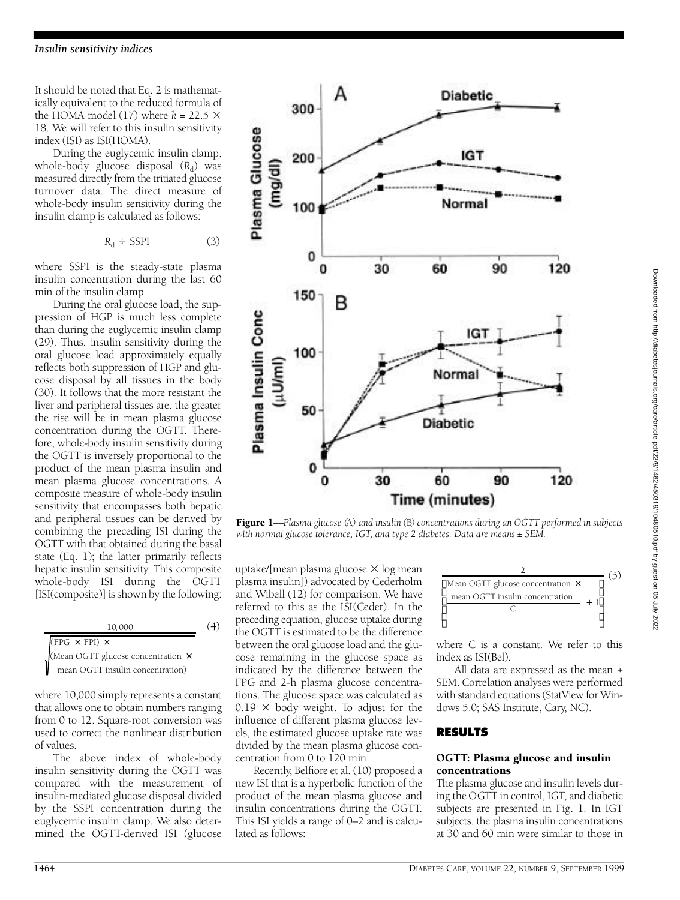It should be noted that Eq. 2 is mathematically equivalent to the reduced formula of the HOMA model (17) where  $k = 22.5 \times$ 18. We will refer to this insulin sensitivity index (ISI) as ISI(HOMA).

During the euglycemic insulin clamp, whole-body glucose disposal (R<sub>d</sub>) was measured directly from the tritiated glucose turnover data. The direct measure of whole-body insulin sensitivity during the insulin clamp is calculated as follows:

$$
R_{\rm d} \div \text{SSPI}
$$

 $(3)$ 

where SSPI is the steady-state plasma insulin concentration during the last 60 min of the insulin clamp.

During the oral glucose load, the supp ression of HGP is much less complete than during the euglycemic insulin clamp (29). Thus, insulin sensitivity during the oral glucose load approximately equally re flects both suppression of HGP and glucose disposal by all tissues in the body (30). It follows that the more resistant the liver and peripheral tissues are, the greater the rise will be in mean plasma glucose concentration during the OGTT. Therefore, whole-body insulin sensitivity during the OGTT is inversely proportional to the p roduct of the mean plasma insulin and mean plasma glucose concentrations. A composite measure of whole-body insulin sensitivity that encompasses both hepatic and peripheral tissues can be derived by combining the preceding ISI during the OGTT with that obtained during the basal state (Eq. 1); the latter primarily reflects hepatic insulin sensitivity. This composite whole-body ISI during the OGTT [ISI(composite)] is shown by the following:

 $(4)$ 10, 000  $FPG \times FPI) \times$ (Mean OGTT glucose concentration × mean OGTT insulin concentration)

where  $10,000$  simply represents a constant that allows one to obtain numbers ranging from 0 to 12. Square-root conversion was used to correct the nonlinear distribution of values.

The above index of whole-body insulin sensitivity during the OGTT was compared with the measurement of insulin-mediated glucose disposal divided by the SSPI concentration during the euglycemic insulin clamp. We also determined the OGTT-derived ISI (glucose



Figure 1—*Plasma glucose (*A*) and insulin (*B*) concentrations during an OGTT performed in subjects with normal glucose tolerance, IGT, and type 2 diabetes. Data are means ± SEM.*

uptake/[mean plasma glucose  $\times$  log mean plasma insulin]) advocated by Cederholm and Wibell (12) for comparison. We have referred to this as the ISI(Ceder). In the preceding equation, glucose uptake during the OGTT is estimated to be the difference between the oral glucose load and the glucose remaining in the glucose space as indicated by the difference between the FPG and 2-h plasma glucose concentrations. The glucose space was calculated as  $0.19 \times$  body weight. To adjust for the influence of different plasma glucose levels, the estimated glucose uptake rate was divided by the mean plasma glucose concentration from 0 to 120 min.

Recently, Belfiore et al. (10) proposed a new ISI that is a hyperbolic function of the p roduct of the mean plasma glucose and insulin concentrations during the OGTT. This ISI yields a range of 0–2 and is calculated as follows:

| Mean OGTT glucose concentration x |  |  |
|-----------------------------------|--|--|
| mean OGTT insulin concentration   |  |  |
|                                   |  |  |

where  $C$  is a constant. We refer to this index as ISI(Bel).

All data are expressed as the mean  $\pm$ SEM. Correlation analyses were performed with standard equations (StatView for Windows 5.0; SAS Institute, Cary, NC).

#### **R E S U LT S**

#### OGTT: Plasma glucose and insulin concentrations

The plasma glucose and insulin levels during the OGTT in control, IGT, and diabetic subjects are presented in Fig. 1. In IGT subjects, the plasma insulin concentrations at 30 and 60 min were similar to those in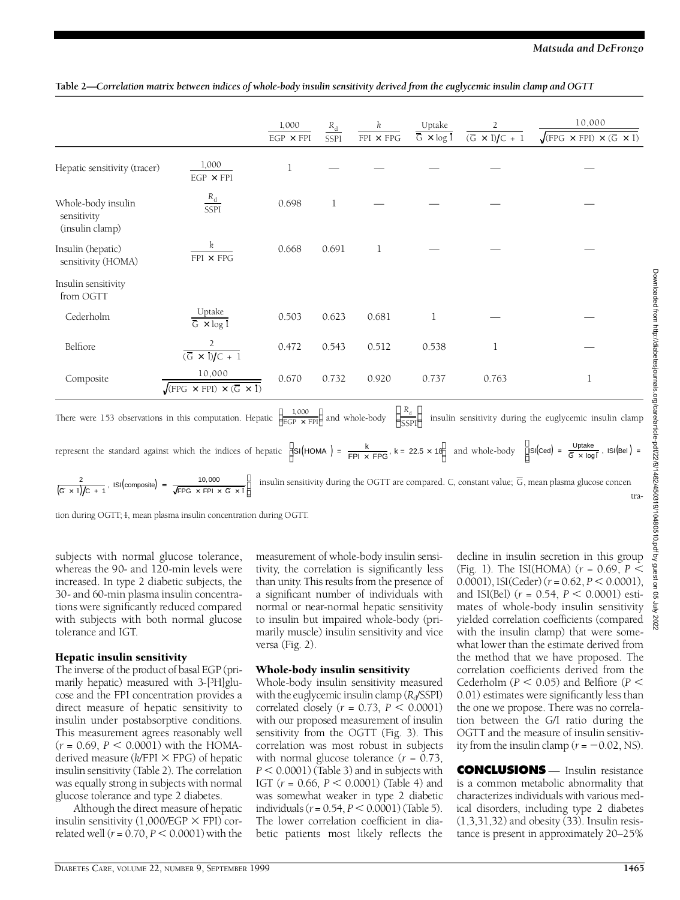|                                                      |                                                                        | 1,000<br>$EGP \times FPI$ | $R_{\rm d}$<br>SSPI | k<br>$FPI \times FPG$ | Uptake<br>$\overline{G} \times \log I$ | 2<br>$(\overline{G} \times I)/C + 1$ | 10,000<br>$\sqrt{\text{FPG} \times \text{FPI}} \times (\overline{G} \times \overline{I})$ |
|------------------------------------------------------|------------------------------------------------------------------------|---------------------------|---------------------|-----------------------|----------------------------------------|--------------------------------------|-------------------------------------------------------------------------------------------|
| Hepatic sensitivity (tracer)                         | 1,000<br>$EGP \times FPI$                                              | 1                         |                     |                       |                                        |                                      |                                                                                           |
| Whole-body insulin<br>sensitivity<br>(insulin clamp) | $\frac{R_{\rm d}}{\rm SSPI}$                                           | 0.698                     | $\mathbf 1$         |                       |                                        |                                      |                                                                                           |
| Insulin (hepatic)<br>sensitivity (HOMA)              | k<br>$FPI \times FPG$                                                  | 0.668                     | 0.691               | 1                     |                                        |                                      |                                                                                           |
| Insulin sensitivity<br>from OGTT                     |                                                                        |                           |                     |                       |                                        |                                      |                                                                                           |
| Cederholm                                            | Uptake<br>$\overline{G \times log I}$                                  | 0.503                     | 0.623               | 0.681                 | 1                                      |                                      |                                                                                           |
| Belfiore                                             | 2<br>$\overline{(\overline{G} \times I)/C}$ + 1                        | 0.472                     | 0.543               | 0.512                 | 0.538                                  | 1                                    |                                                                                           |
| Composite                                            | 10,000<br>$\sqrt{\text{[FPG x FPI]} \times (\overline{\text{G x I}})}$ | 0.670                     | 0.732               | 0.920                 | 0.737                                  | 0.763                                | 1                                                                                         |

#### Table 2—*Correlation matrix between indices of whole-body insulin sensitivity derived from the euglycemic insulin clamp and OGTT*

There were 153 observations in this computation. Hepatic  $\frac{1}{EGP \times FPI}$  and whole-body  $\frac{a}{SSPI}$  insulin sensitivity during the euglycemic insulin clamp *R*d SSPI  $rac{a}{SSPI}$ 1, 000 EGP × FPI  $\frac{1,000}{EGP \times FPI}$ 

represent the standard against which the indices of hepatic  $\left| \cdot \right|$   $\left| \cdot \right|$   $\left| \cdot \right|$   $\left| \cdot \right|$   $\left| \cdot \right|$   $\left| \cdot \right|$   $\left| \cdot \right|$   $\left| \cdot \right|$   $\left| \cdot \right|$   $\left| \cdot \right|$   $\left| \cdot \right|$   $\left| \cdot \right|$   $\left| \cdot \right|$   $\left| \cdot \right|$   $\left| \cdot \$  $ISI(ced) = \frac{Uptake}{\sqrt{2} + 1}$  $ISI\left(Ced\right) = \frac{Uptake}{\overline{G} \times log\overline{I}}$ ,  $ISI\left(Bel\right) =$  $\text{ISI} \left( \text{HOMA} \right) = \frac{k}{\text{FPI} \times \text{FPG}}$ , k = 22.5 × 18 and whole-body  $ISI(HOMA) = \frac{k}{FPI \times FPG}$ , k = 22.5 × 18  $\overline{a}$ 

insulin sensitivity during the OGTT are compared. C, constant value;  $\overline{G}$ , mean plasma glucose concen tra-2  $\frac{2}{(\text{G} \times \text{I})/C + 1}$ , ISI (composite) =  $\frac{10,000}{\sqrt{\text{FPG} \times \text{FPI} \times 1}}$ FPG  $\times$  FPI  $\times$   $\overline{\mathsf{G}}$   $\times$   $\overline{\mathsf{I}}$ 

tion during OGTT; I, mean plasma insulin concentration during OGTT.

subjects with normal glucose tolerance, whereas the 90- and 120-min levels were increased. In type 2 diabetic subjects, the 30- and 60-min plasma insulin concentrations were significantly reduced compared with subjects with both normal glucose tolerance and IGT.

#### Hepatic insulin sensitivity

The inverse of the product of basal EGP (primarily hepatic) measured with  $3-[3H]$ glucose and the FPI concentration provides a direct measure of hepatic sensitivity to insulin under postabsorptive conditions. This measurement agrees reasonably well  $(r = 0.69, P < 0.0001)$  with the HOMAderived measure ( $k$ /FPI  $\times$  FPG) of hepatic insulin sensitivity (Table 2). The correlation was equally strong in subjects with normal glucose tolerance and type 2 diabetes.

Although the direct measure of hepatic insulin sensitivity  $(1,000/\text{EGP} \times \text{FPI})$  correlated well ( $r = 0.70, P \le 0.0001$ ) with the measurement of whole-body insulin sensitivity, the correlation is significantly less than unity. This results from the presence of a significant number of individuals with normal or near-normal hepatic sensitivity to insulin but impaired whole-body (primarily muscle) insulin sensitivity and vice versa (Fig. 2).

#### Whole-body insulin sensitivity

Whole-body insulin sensitivity measured with the euglycemic insulin clamp (R<sub>d</sub>/SSPI) correlated closely ( $r = 0.73$ ,  $P < 0.0001$ ) with our proposed measurement of insulin sensitivity from the OGTT (Fig. 3). This correlation was most robust in subjects with normal glucose tolerance  $(r = 0.73)$ ,  $P < 0.0001$ ) (Table 3) and in subjects with IGT  $(r = 0.66, P < 0.0001)$  (Table 4) and was somewhat weaker in type 2 diabetic individuals ( $r = 0.54$ ,  $P < 0.0001$ ) (Table 5). The lower correlation coefficient in diabetic patients most likely reflects the

decline in insulin secretion in this group (Fig. 1). The ISI(HOMA)  $(r = 0.69, P <$ 0.0001), ISI(Ceder) ( $r = 0.62$ ,  $P < 0.0001$ ), and ISI(Bel) ( $r = 0.54$ ,  $P < 0.0001$ ) estimates of whole-body insulin sensitivity yielded correlation coefficients (compared with the insulin clamp) that were somewhat lower than the estimate derived from the method that we have proposed. The correlation coefficients derived from the Cederholm ( $P < 0.05$ ) and Belfiore ( $P <$ 0.01) estimates were significantly less than the one we propose. There was no correlation between the G/I ratio during the OGTT and the measure of insulin sensitivity from the insulin clamp  $(r = -0.02, \text{NS})$ .

**CONCLUSIONS** — Insulin resistance is a common metabolic abnormality that characterizes individuals with various medical disorders, including type 2 diabetes  $(1,3,31,32)$  and obesity  $(33)$ . Insulin resistance is present in approximately 20–25%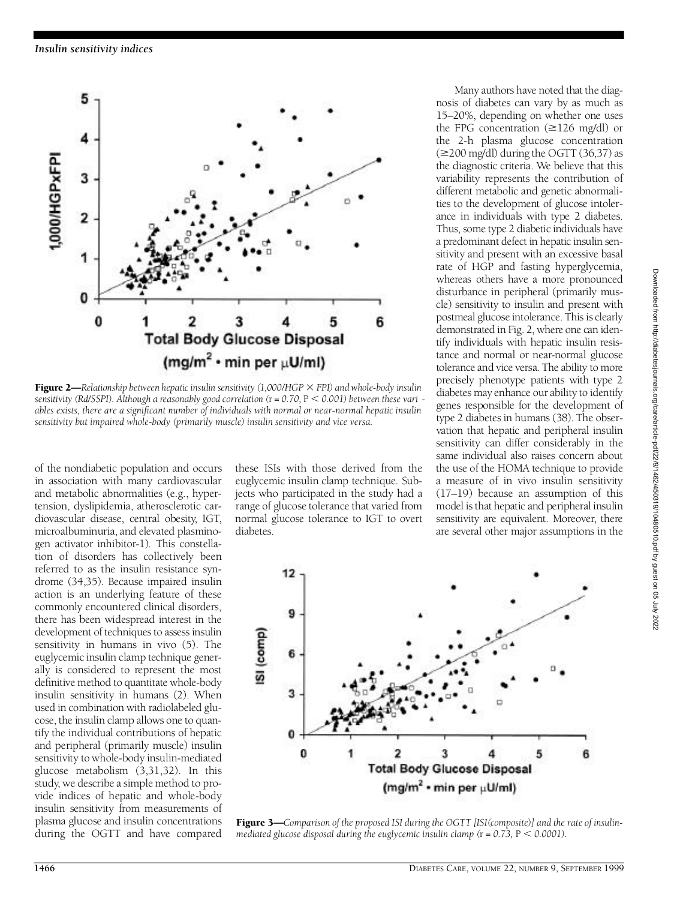

**Figure 2—***Relationship between hepatic insulin sensitivity (1,000/HGP*  $\times$  *FPI) and whole-body insulin sensitivity (Rd/SSPI). Although a reasonably good correlation (r = 0.70, P < 0.001) between these vari ables exists, there are a significant number of individuals with normal or near-normal hepatic insulin sensitivity but impaired whole-body (primarily muscle) insulin sensitivity and vice versa.*

of the nondiabetic population and occurs in association with many cardiovascular and metabolic abnormalities (e.g., hypertension, dyslipidemia, atherosclerotic cardiovascular disease, central obesity, IGT, microalbuminuria, and elevated plasminogen activator inhibitor-1). This constellation of disorders has collectively been referred to as the insulin resistance syndrome (34,35). Because impaired insulin action is an underlying feature of these commonly encountered clinical disorders, there has been widespread interest in the development of techniques to assess insulin sensitivity in humans in vivo (5). The euglycemic insulin clamp technique generally is considered to represent the most definitive method to quantitate whole-body insulin sensitivity in humans (2). When used in combination with radiolabeled glucose, the insulin clamp allows one to quantify the individual contributions of hepatic and peripheral (primarily muscle) insulin sensitivity to whole-body insulin-mediated glucose metabolism (3,31,32). In this study, we describe a simple method to provide indices of hepatic and whole-body insulin sensitivity from measurements of plasma glucose and insulin concentrations during the OGTT and have compared

these ISIs with those derived from the euglycemic insulin clamp technique. Subjects who participated in the study had a range of glucose tolerance that varied from normal glucose tolerance to IGT to overt diabetes.

Many authors have noted that the diagnosis of diabetes can vary by as much as 15–20%, depending on whether one uses the FPG concentration  $(\geq 126 \text{ mg/dl})$  or the 2-h plasma glucose concentration  $(\geq 200 \text{ mg/dl})$  during the OGTT (36,37) as the diagnostic criteria. We believe that this variability represents the contribution of different metabolic and genetic abnormalities to the development of glucose intolerance in individuals with type 2 diabetes. Thus, some type 2 diabetic individuals have a predominant defect in hepatic insulin sensitivity and present with an excessive basal rate of HGP and fasting hyperglycemia, whereas others have a more pronounced disturbance in peripheral (primarily muscle) sensitivity to insulin and present with postmeal glucose intolerance. This is clearly demonstrated in Fig. 2, where one can identify individuals with hepatic insulin resistance and normal or near-normal glucose tolerance and vice versa. The ability to more p recisely phenotype patients with type 2 diabetes may enhance our ability to identify genes responsible for the development of type 2 diabetes in humans (38). The observation that hepatic and peripheral insulin sensitivity can differ considerably in the same individual also raises concern about the use of the HOMA technique to provide a measure of in vivo insulin sensitivity (17–19) because an assumption of this model is that hepatic and peripheral insulin sensitivity are equivalent. Moreover, there are several other major assumptions in the



Figure 3—*Comparison of the proposed ISI during the OGTT [ISI(composite)] and the rate of insulinmediated glucose disposal during the euglycemic insulin clamp*  $(r = 0.73, P < 0.0001)$ *.*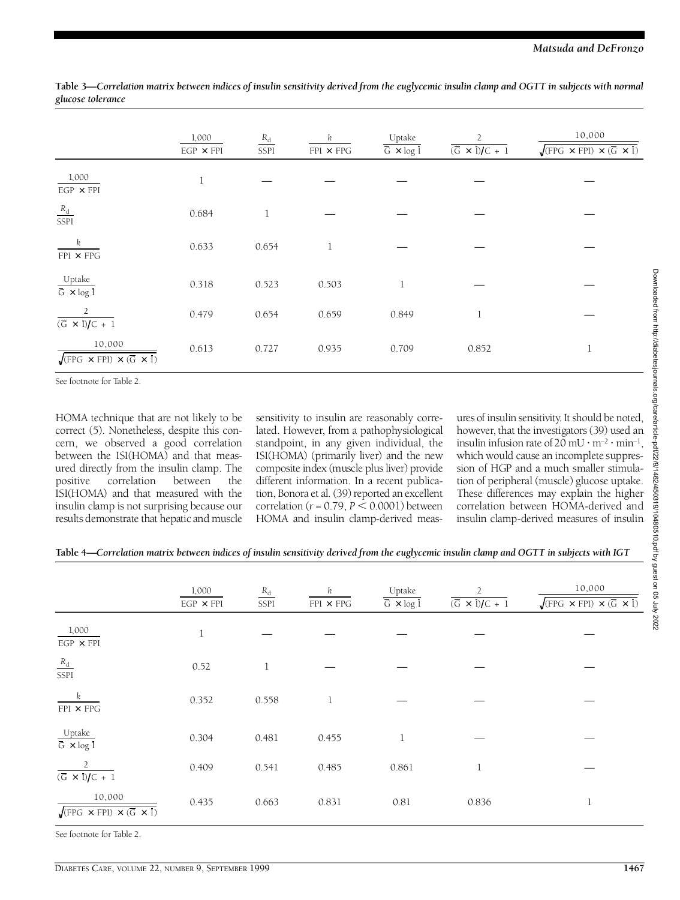|                                                                                 | 1,000<br>$EGP \times FPI$ | $R_{\rm d}$<br><b>SSPI</b> | k<br>$FPI \times FPG$ | Uptake<br>$\overline{G} \times \log I$ | 2<br>$\overline{(\overline{G} \times I)/C + 1}$ | 10,000<br>$\sqrt{\text{[FPG x FPI]} \times (\overline{G} \times I)}$ |
|---------------------------------------------------------------------------------|---------------------------|----------------------------|-----------------------|----------------------------------------|-------------------------------------------------|----------------------------------------------------------------------|
| 1,000<br>$EGP\,\times\,FPI$                                                     | 1                         |                            |                       |                                        |                                                 |                                                                      |
| $\frac{R_{\rm d}}{\rm SSPI}$                                                    | 0.684                     | 1                          |                       |                                        |                                                 |                                                                      |
| $\boldsymbol{k}$<br>${\rm FPI}$ $\times$ ${\rm FPG}$                            | 0.633                     | 0.654                      | 1                     |                                        |                                                 |                                                                      |
| $\frac{\text{Update}}{\overline{\text{G}} \times \log \overline{\text{I}}}$     | 0.318                     | 0.523                      | 0.503                 | 1                                      |                                                 |                                                                      |
| $\overline{2}$<br>$\overline{(\overline{G} \times I)/C + 1}$                    | 0.479                     | 0.654                      | 0.659                 | 0.849                                  | 1                                               |                                                                      |
| 10,000<br>$\sqrt{\text{[FPG x FPI]} \times (\overline{G} \times \overline{I})}$ | 0.613                     | 0.727                      | 0.935                 | 0.709                                  | 0.852                                           | л<br>$\mathbf{\mathbf{I}}$                                           |

Table 3—Correlation matrix between indices of insulin sensitivity derived from the euglycemic insulin clamp and OGTT in subjects with normal *glucose tolerance*

See footnote for Table 2.

HOMA technique that are not likely to be correct (5). Nonetheless, despite this concern, we observed a good correlation between the ISI(HOMA) and that measured directly from the insulin clamp. The positive correlation between the correlation between the ISI(HOMA) and that measured with the insulin clamp is not surprising because our results demonstrate that hepatic and muscle sensitivity to insulin are reasonably correlated. However, from a pathophysiological standpoint, in any given individual, the ISI(HOMA) (primarily liver) and the new composite index (muscle plus liver) provide different information. In a recent publication, Bonora et al. (39) reported an excellent correlation ( $r = 0.79$ ,  $P < 0.0001$ ) between HOMA and insulin clamp-derived meas-

ures of insulin sensitivity. It should be noted, however, that the investigators (39) used an insulin infusion rate of  $20 \,\mathrm{mU\cdot m^{-2}\cdot min^{-1}}$ , which would cause an incomplete suppression of HGP and a much smaller stimulation of peripheral (muscle) glucose uptake. These differences may explain the higher correlation between HOMA-derived and insulin clamp-derived measures of insulin

| Table 4—Correlation matrix between indices of insulin sensitivity derived from the euglycemic insulin clamp and OGTT in subjects with IGT |  |  |
|-------------------------------------------------------------------------------------------------------------------------------------------|--|--|
|                                                                                                                                           |  |  |

|                                                                                                         | 1,000<br>$EGP \times FPI$ | $R_{\rm d}$<br>SSPI | k<br>$FPI \times FPG$ | Uptake<br>$\overline{G} \times \log I$ | 2<br>$\overline{(\overline{G} \times I)/C + 1}$ | 10,000<br>$\sqrt{\text{FPG}} \times \text{FPI} \times (\overline{\text{G}} \times \overline{\text{I}})$ |
|---------------------------------------------------------------------------------------------------------|---------------------------|---------------------|-----------------------|----------------------------------------|-------------------------------------------------|---------------------------------------------------------------------------------------------------------|
| 1,000<br>$EGP\,\times\,FPI$                                                                             | $\,1$                     |                     |                       |                                        |                                                 |                                                                                                         |
| $\frac{R_{\rm d}}{\rm SSPI}$                                                                            | 0.52                      | 1                   |                       |                                        |                                                 |                                                                                                         |
| k<br>$FPI \times FPG$                                                                                   | 0.352                     | 0.558               | 1                     |                                        |                                                 |                                                                                                         |
| Uptake<br>$\overline{G} \times \log I$                                                                  | 0.304                     | 0.481               | 0.455                 | 1                                      |                                                 |                                                                                                         |
| $\overline{2}$<br>$\overline{(\overline{G} \times I)/C + 1}$                                            | 0.409                     | 0.541               | 0.485                 | 0.861                                  | 1                                               |                                                                                                         |
| 10,000<br>$\sqrt{\text{FPG} \times \text{FPI} \times (\overline{\text{G}} \times \overline{\text{I}})}$ | 0.435                     | 0.663               | 0.831                 | 0.81                                   | 0.836                                           | 1                                                                                                       |

See footnote for Table 2.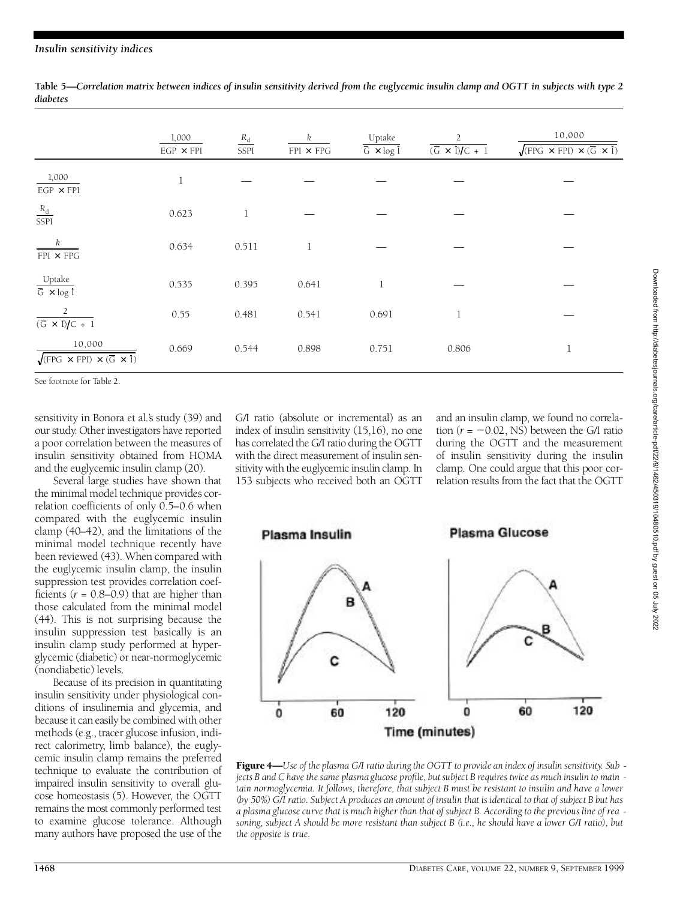Table 5—Correlation matrix between indices of insulin sensitivity derived from the euglycemic insulin clamp and OGTT in subjects with type 2 *d i a b e t e s*

|                                                                                | 1,000<br>$EGP \times FPI$ | $R_{\rm d}$<br>SSPI | k<br>$FPI \times FPG$ | Uptake<br>$\overline{G} \times \log I$ | $\overline{2}$<br>$\overline{(\overline{G} \times I)/C + 1}$ | 10,000<br>$\sqrt{\text{[FPG x FPI]} \times (\overline{G} \times I)}$ |
|--------------------------------------------------------------------------------|---------------------------|---------------------|-----------------------|----------------------------------------|--------------------------------------------------------------|----------------------------------------------------------------------|
| 1,000<br>$EGP\,\times\,FPI$                                                    | 1                         |                     |                       |                                        |                                                              |                                                                      |
| $\frac{R_{\rm d}}{\rm SSPI}$                                                   | 0.623                     | 1                   |                       |                                        |                                                              |                                                                      |
| k<br>$FPI \times FPG$                                                          | 0.634                     | 0.511               | 1                     |                                        |                                                              |                                                                      |
| $\frac{\text{Update}}{\overline{\text{G}} \times \log \overline{\text{I}}}$    | 0.535                     | 0.395               | 0.641                 | 1                                      |                                                              |                                                                      |
| 2<br>$(\overline{G} \times I)/C + 1$                                           | 0.55                      | 0.481               | 0.541                 | 0.691                                  | $\mathbf 1$                                                  |                                                                      |
| 10,000<br>$\sqrt{\text{FPG} \times \text{FPI} \times (\overline{G} \times I)}$ | 0.669                     | 0.544               | 0.898                 | 0.751                                  | 0.806                                                        | $\mathbf 1$                                                          |

See footnote for Table 2.

sensitivity in Bonora et al.'s study (39) and our study. Other investigators have reported a poor correlation between the measures of insulin sensitivity obtained from HOMA and the euglycemic insulin clamp (20).

Several large studies have shown that the minimal model technique provides correlation coefficients of only 0.5–0.6 when compared with the euglycemic insulin clamp (40–42), and the limitations of the minimal model technique recently have been reviewed (43). When compared with the euglycemic insulin clamp, the insulin suppression test provides correlation coefficients  $(r = 0.8 - 0.9)$  that are higher than those calculated from the minimal model (44). This is not surprising because the insulin suppression test basically is an insulin clamp study performed at hyperglycemic (diabetic) or near-normoglycemic (nondiabetic) levels.

Because of its precision in quantitating insulin sensitivity under physiological conditions of insulinemia and glycemia, and because it can easily be combined with other methods (e.g., tracer glucose infusion, indirect calorimetry, limb balance), the euglycemic insulin clamp remains the preferred technique to evaluate the contribution of impaired insulin sensitivity to overall glucose homeostasis (5). However, the OGTT remains the most commonly performed test to examine glucose tolerance. Although many authors have proposed the use of the

G/I ratio (absolute or incremental) as an index of insulin sensitivity (15,16), no one has correlated the G/I ratio during the OGTT with the direct measurement of insulin sensitivity with the euglycemic insulin clamp. In 153 subjects who received both an OGTT

and an insulin clamp, we found no correlation ( $r = -0.02$ , NS) between the G/I ratio during the OGTT and the measurement of insulin sensitivity during the insulin clamp. One could argue that this poor correlation results from the fact that the OGTT



Figure 4—*Use of the plasma G/I ratio during the OGTT to provide an index of insulin sensitivity. Sub jects B and C have the same plasma glucose profile, but subject B requires twice as much insulin to main tain normoglycemia. It follows, therefore, that subject B must be resistant to insulin and have a lower (by 50%) G/I ratio. Subject A produces an amount of insulin that is identical to that of subject B but has a plasma glucose curve that is much higher than that of subject B. According to the previous line of rea soning, subject A should be more resistant than subject B (i.e., he should have a lower G/I ratio), but the opposite is true.*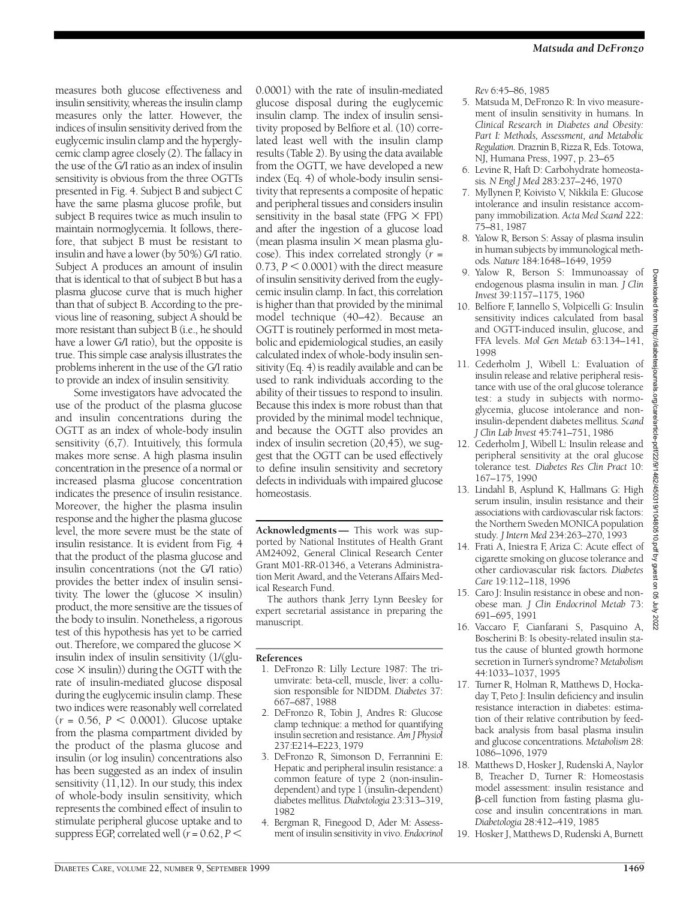measures both glucose effectiveness and insulin sensitivity, whereas the insulin clamp measures only the latter. However, the indices of insulin sensitivity derived from the euglycemic insulin clamp and the hyperglycemic clamp agree closely (2). The fallacy in the use of the G/I ratio as an index of insulin sensitivity is obvious from the three OGTTs p resented in Fig. 4. Subject B and subject C have the same plasma glucose profile, but subject B requires twice as much insulin to maintain normoglycemia. It follows, therefore, that subject B must be resistant to insulin and have a lower (by 50%) G/I ratio. Subject A produces an amount of insulin that is identical to that of subject B but has a plasma glucose curve that is much higher than that of subject B. According to the previous line of reasoning, subject A should be more resistant than subject B (i.e., he should have a lower G/I ratio), but the opposite is t rue. This simple case analysis illustrates the p roblems inherent in the use of the G/I ratio to provide an index of insulin sensitivity.

Some investigators have advocated the use of the product of the plasma glucose and insulin concentrations during the OGTT as an index of whole-body insulin sensitivity  $(6,7)$ . Intuitively, this formula makes more sense. A high plasma insulin concentration in the presence of a normal or increased plasma glucose concentration indicates the presence of insulin resistance. Moreover, the higher the plasma insulin response and the higher the plasma glucose level, the more severe must be the state of insulin resistance. It is evident from Fig. 4 that the product of the plasma glucose and insulin concentrations (not the G/I ratio) p rovides the better index of insulin sensitivity. The lower the (glucose  $\times$  insulin) p roduct, the more sensitive are the tissues of the body to insulin. Nonetheless, a rigorous test of this hypothesis has yet to be carried out. Therefore, we compared the glucose  $\times$ insulin index of insulin sensitivity (1/(glu- $\cos \theta \times \sin \theta$ ) during the OGTT with the rate of insulin-mediated glucose disposal during the euglycemic insulin clamp. These two indices were reasonably well correlated  $(r = 0.56, P < 0.0001)$ . Glucose uptake from the plasma compartment divided by the product of the plasma glucose and insulin (or log insulin) concentrations also has been suggested as an index of insulin sensitivity (11,12). In our study, this index of whole-body insulin sensitivity, which represents the combined effect of insulin to stimulate peripheral glucose uptake and to suppress EGP, correlated well  $(r = 0.62, P <$ 

0.0001) with the rate of insulin-mediated glucose disposal during the euglycemic insulin clamp. The index of insulin sensitivity proposed by Belfiore et al.  $(10)$  correlated least well with the insulin clamp results (Table 2). By using the data available from the OGTT, we have developed a new index (Eq. 4) of whole-body insulin sensitivity that represents a composite of hepatic and peripheral tissues and considers insulin sensitivity in the basal state (FPG  $\times$  FPI) and after the ingestion of a glucose load (mean plasma insulin  $\times$  mean plasma glucose). This index correlated strongly (*r* =  $0.73$ ,  $P < 0.0001$ ) with the direct measure of insulin sensitivity derived from the euglycemic insulin clamp. In fact, this correlation is higher than that provided by the minimal model technique (40–42). Because an OGTT is routinely performed in most metabolic and epidemiological studies, an easily calculated index of whole-body insulin sensitivity (Eq. 4) is readily available and can be used to rank individuals according to the ability of their tissues to respond to insulin. Because this index is more robust than that provided by the minimal model technique, and because the OGTT also provides an index of insulin secretion (20,45), we suggest that the OGTT can be used effectively to define insulin sensitivity and secretory defects in individuals with impaired glucose homeostasis.

Acknowledgments- This work was supported by National Institutes of Health Grant AM24092, General Clinical Research Center Grant M01-RR-01346, a Veterans Administration Merit Award, and the Veterans Affairs Medical Research Fund.

The authors thank Jerry Lynn Beesley for expert secretarial assistance in preparing the manuscript.

#### **R e f e re n c e s**

- 1. DeFronzo R: Lilly Lecture 1987: The triumvirate: beta-cell, muscle, liver: a collusion responsible for NIDDM. *Diabetes* 37: 667–687, 1988
- 2. DeFronzo R, Tobin J, Andres R: Glucose clamp technique: a method for quantifying insulin secretion and resistance. Am J Physiol 237:E214–E223, 1979
- 3. DeFronzo R, Simonson D, Ferrannini E: Hepatic and peripheral insulin resistance: a common feature of type 2 (non-insulindependent) and type 1 (insulin-dependent) diabetes mellitus. Diabetologia 23:313-319, 1982
- 4. Bergman R, Finegood D, Ader M: Assessment of insulin sensitivity in vivo. *Endocrinol*

*R e v* 6:45–86, 1985

- 5 . Matsuda M, DeFronzo R: In vivo measurement of insulin sensitivity in humans. In *Clinical Research in Diabetes and Obesity:* Part I: Methods, Assessment, and Metabolic *Regulation. Draznin B, Rizza R, Eds. Totowa,* NJ, Humana Press, 1997, p. 23–65
- 6 . Levine R, Haft D: Carbohydrate homeostasis. N Engl J Med 283:237-246, 1970
- 7 . Myllynen P, Koivisto V, Nikkila E: Glucose intolerance and insulin resistance accompany immobilization. Acta Med Scand 222: 75–81, 1987
- 8. Yalow R, Berson S: Assay of plasma insulin in human subjects by immunological methods. Nature 184:1648-1649, 1959
- 9. Yalow R, Berson S: Immunoassay of endogenous plasma insulin in man*. J Clin I n v e s t* 39:1157–1175, 1960
- 10. Belfiore F, Iannello S, Volpicelli G: Insulin sensitivity indices calculated from basal and OGTT-induced insulin, glucose, and FFA levels. *Mol Gen Metab* 63:134-141, 1 9 9 8
- 11. Cederholm J, Wibell L: Evaluation of insulin release and relative peripheral resistance with use of the oral glucose tolerance test: a study in subjects with normoglycemia, glucose intolerance and noninsulin-dependent diabetes mellitus*. S c a n d J Clin Lab Invest* 45:741–751, 1986
- 12. Cederholm J, Wibell L: Insulin release and peripheral sensitivity at the oral glucose tolerance test. Diabetes Res Clin Pract 10: 167–175, 1990
- 13. Lindahl B, Asplund K, Hallmans G: High serum insulin, insulin resistance and their associations with cardiovascular risk factors: the Northern Sweden MONICA population study. *J Intern Med* 234:263-270, 1993
- 14. Frati A, Iniestra F, Ariza C: Acute effect of cigarette smoking on glucose tolerance and  $other$  cardiovascular risk factors. Diabetes *C a re* 19:112–118, 1996
- 15. Caro J: Insulin resistance in obese and nonobese man. J Clin Endocrinol Metab 73: 691–695, 1991
- 16. Vaccaro F, Cianfarani S, Pasquino A, Boscherini B: Is obesity-related insulin status the cause of blunted growth hormone secretion in Turner's syndrome? Metabolism 44:1033–1037, 1995
- 17. Turner R, Holman R, Matthews D, Hockaday T, Peto J: Insulin deficiency and insulin resistance interaction in diabetes: estimation of their relative contribution by feedback analysis from basal plasma insulin and glucose concentrations. Metabolism 28: 1086–1096, 1979
- 18. Matthews D, Hosker J, Rudenski A, Naylor B, Treacher D, Turner R: Homeostasis model assessment: insulin resistance and b-cell function from fasting plasma glucose and insulin concentrations in man*. D i a b e t o l o g i a* 28:412–419, 1985
- 19. Hosker J, Matthews D, Rudenski A, Burnett

ded from http:

tesjournals.org/care/article